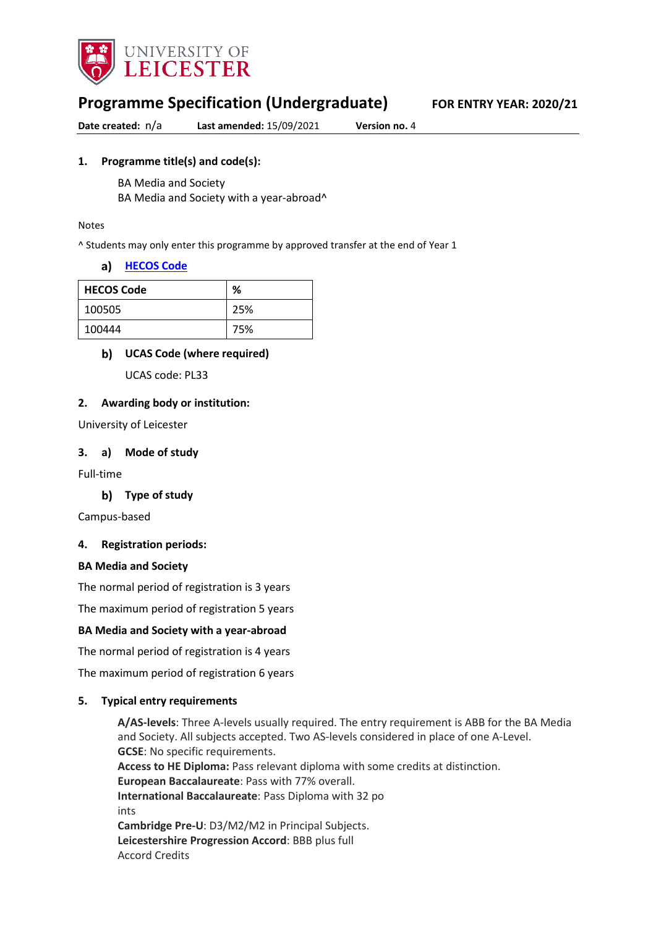

# **Programme Specification (Undergraduate) FOR ENTRY YEAR: 2020/21**

**Date created:** n/a **Last amended:** 15/09/2021 **Version no.** 4

#### **1. Programme title(s) and code(s):**

BA Media and Society

BA Media and Society with a year-abroad^

#### Notes

^ Students may only enter this programme by approved transfer at the end of Year 1

#### **[HECOS Code](https://www.hesa.ac.uk/innovation/hecos)**

| <b>HECOS Code</b> | %   |
|-------------------|-----|
| 100505            | 25% |
| 100444            | 75% |

#### **UCAS Code (where required)**

UCAS code: PL33

#### **2. Awarding body or institution:**

University of Leicester

#### **3. a) Mode of study**

Full-time

#### **Type of study**

Campus-based

#### **4. Registration periods:**

#### **BA Media and Society**

The normal period of registration is 3 years

The maximum period of registration 5 years

#### **BA Media and Society with a year-abroad**

The normal period of registration is 4 years

The maximum period of registration 6 years

#### **5. Typical entry requirements**

**A/AS-levels**: Three A-levels usually required. The entry requirement is ABB for the BA Media and Society. All subjects accepted. Two AS-levels considered in place of one A-Level. **GCSE**: No specific requirements. **Access to HE Diploma:** Pass relevant diploma with some credits at distinction. **European Baccalaureate**: Pass with 77% overall. **International Baccalaureate**: Pass Diploma with 32 po ints **Cambridge Pre-U**: D3/M2/M2 in Principal Subjects. **Leicestershire Progression Accord**: BBB plus full Accord Credits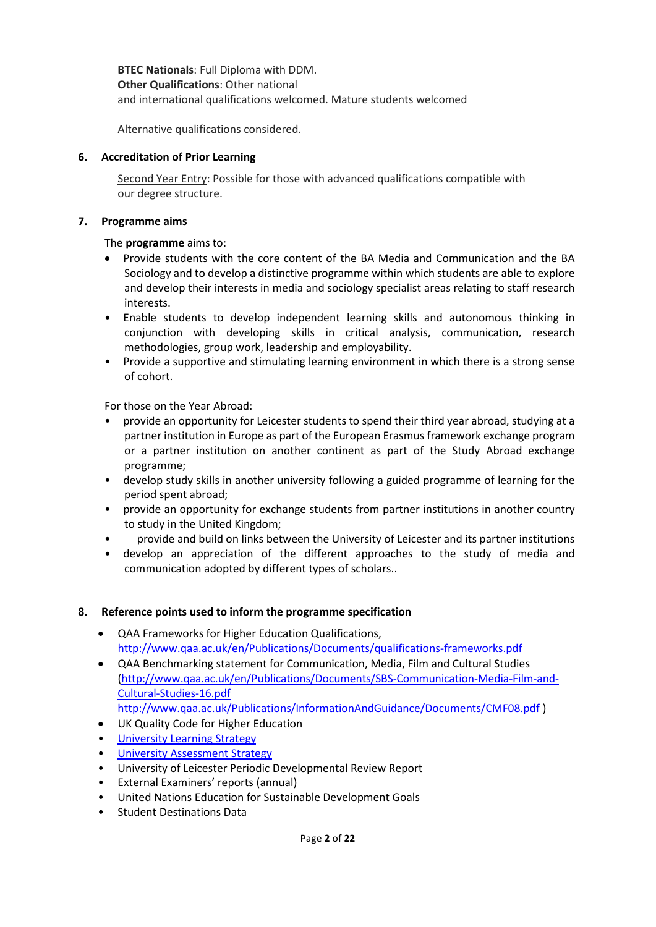**BTEC Nationals**: Full Diploma with DDM. **Other Qualifications**: Other national and international qualifications welcomed. Mature students welcomed

Alternative qualifications considered.

#### **6. Accreditation of Prior Learning**

Second Year Entry: Possible for those with advanced qualifications compatible with our degree structure.

#### **7. Programme aims**

The **programme** aims to:

- Provide students with the core content of the BA Media and Communication and the BA Sociology and to develop a distinctive programme within which students are able to explore and develop their interests in media and sociology specialist areas relating to staff research interests.
- Enable students to develop independent learning skills and autonomous thinking in conjunction with developing skills in critical analysis, communication, research methodologies, group work, leadership and employability.
- Provide a supportive and stimulating learning environment in which there is a strong sense of cohort.

For those on the Year Abroad:

- provide an opportunity for Leicester students to spend their third year abroad, studying at a partner institution in Europe as part of the European Erasmus framework exchange program or a partner institution on another continent as part of the Study Abroad exchange programme;
- develop study skills in another university following a guided programme of learning for the period spent abroad;
- provide an opportunity for exchange students from partner institutions in another country to study in the United Kingdom;
- provide and build on links between the University of Leicester and its partner institutions
- develop an appreciation of the different approaches to the study of media and communication adopted by different types of scholars..

#### **8. Reference points used to inform the programme specification**

- QAA Frameworks for Higher Education Qualifications, <http://www.qaa.ac.uk/en/Publications/Documents/qualifications-frameworks.pdf>
- QAA Benchmarking statement for Communication, Media, Film and Cultural Studies [\(http://www.qaa.ac.uk/en/Publications/Documents/SBS-Communication-Media-Film-and-](http://www.qaa.ac.uk/en/Publications/Documents/SBS-Communication-Media-Film-and-Cultural-Studies-16.pdf)[Cultural-Studies-16.pdf](http://www.qaa.ac.uk/en/Publications/Documents/SBS-Communication-Media-Film-and-Cultural-Studies-16.pdf)  [http://www.qaa.ac.uk/Publications/InformationAndGuidance/Documents/CMF08.pdf](http://www.qaa.ac.uk/en/Publications/Documents/SBS-Communication-Media-Film-and-Cultural-Studies-16.pdf) )
- UK Quality Code for Higher Education
- University Learnin[g Strategy](https://www2.le.ac.uk/offices/sas2/quality/learnteach)
- [University Assessment Strategy](https://www2.le.ac.uk/offices/sas2/quality/learnteach)
- University of Leicester Periodic Developmental Review Report
- External Examiners' reports (annual)
- United Nations Education for Sustainable Development Goals
- Student Destinations Data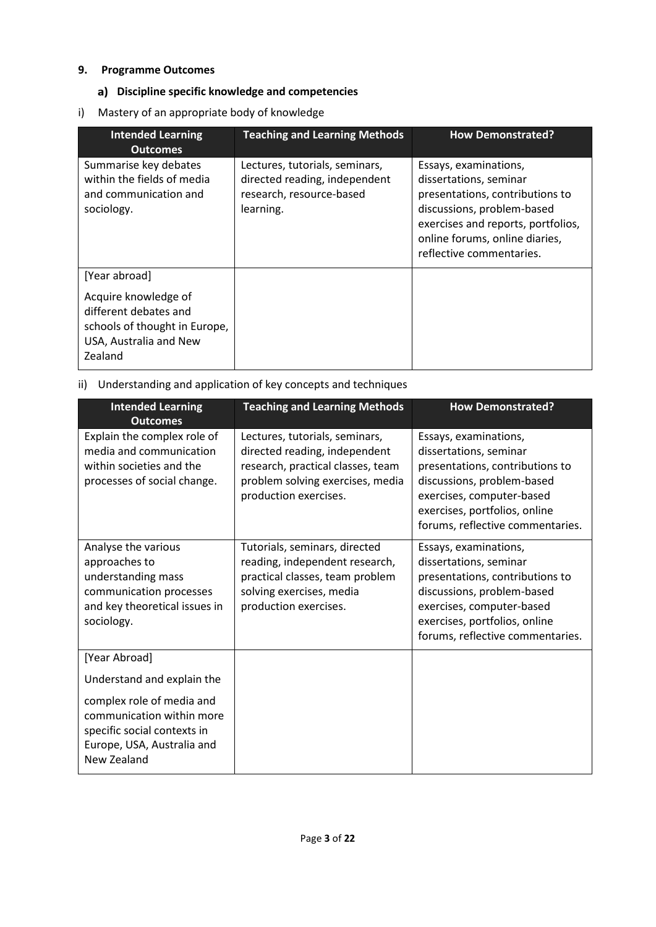### **9. Programme Outcomes**

## **Discipline specific knowledge and competencies**

i) Mastery of an appropriate body of knowledge

| <b>Intended Learning</b><br><b>Outcomes</b>                                                                                          | <b>Teaching and Learning Methods</b>                                                                     | <b>How Demonstrated?</b>                                                                                                                                                                                             |
|--------------------------------------------------------------------------------------------------------------------------------------|----------------------------------------------------------------------------------------------------------|----------------------------------------------------------------------------------------------------------------------------------------------------------------------------------------------------------------------|
| Summarise key debates<br>within the fields of media<br>and communication and<br>sociology.                                           | Lectures, tutorials, seminars,<br>directed reading, independent<br>research, resource-based<br>learning. | Essays, examinations,<br>dissertations, seminar<br>presentations, contributions to<br>discussions, problem-based<br>exercises and reports, portfolios,<br>online forums, online diaries,<br>reflective commentaries. |
| [Year abroad]<br>Acquire knowledge of<br>different debates and<br>schools of thought in Europe,<br>USA, Australia and New<br>Zealand |                                                                                                          |                                                                                                                                                                                                                      |

ii) Understanding and application of key concepts and techniques

| <b>Intended Learning</b><br><b>Outcomes</b>                                                                                                                      | <b>Teaching and Learning Methods</b>                                                                                                                              | <b>How Demonstrated?</b>                                                                                                                                                                                           |
|------------------------------------------------------------------------------------------------------------------------------------------------------------------|-------------------------------------------------------------------------------------------------------------------------------------------------------------------|--------------------------------------------------------------------------------------------------------------------------------------------------------------------------------------------------------------------|
| Explain the complex role of<br>media and communication<br>within societies and the<br>processes of social change.                                                | Lectures, tutorials, seminars,<br>directed reading, independent<br>research, practical classes, team<br>problem solving exercises, media<br>production exercises. | Essays, examinations,<br>dissertations, seminar<br>presentations, contributions to<br>discussions, problem-based<br>exercises, computer-based<br>exercises, portfolios, online<br>forums, reflective commentaries. |
| Analyse the various<br>approaches to<br>understanding mass<br>communication processes<br>and key theoretical issues in<br>sociology.                             | Tutorials, seminars, directed<br>reading, independent research,<br>practical classes, team problem<br>solving exercises, media<br>production exercises.           | Essays, examinations,<br>dissertations, seminar<br>presentations, contributions to<br>discussions, problem-based<br>exercises, computer-based<br>exercises, portfolios, online<br>forums, reflective commentaries. |
| [Year Abroad]                                                                                                                                                    |                                                                                                                                                                   |                                                                                                                                                                                                                    |
| Understand and explain the<br>complex role of media and<br>communication within more<br>specific social contexts in<br>Europe, USA, Australia and<br>New Zealand |                                                                                                                                                                   |                                                                                                                                                                                                                    |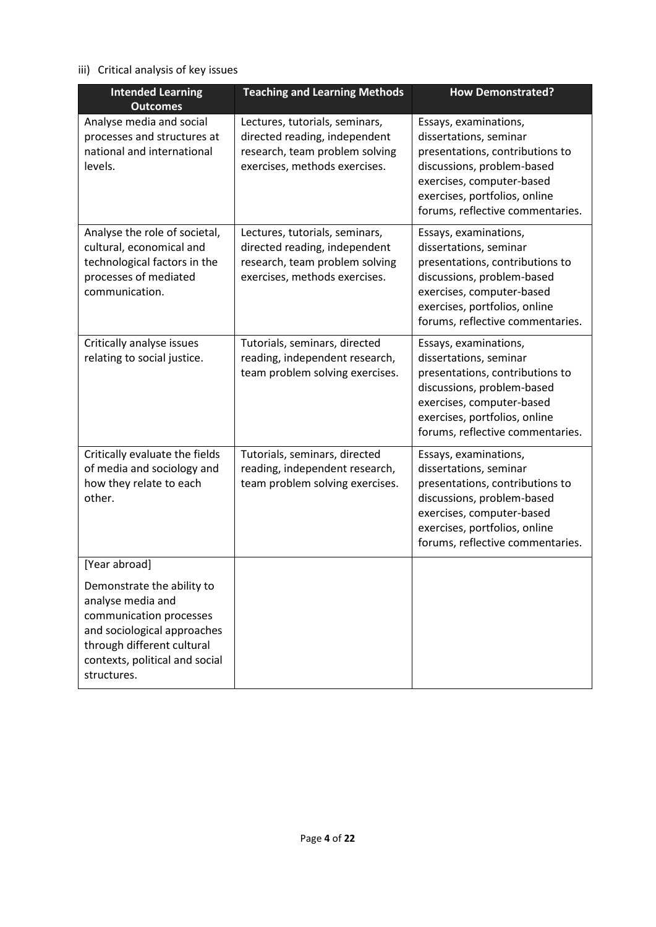## iii) Critical analysis of key issues

| <b>Intended Learning</b>                                                                                                                                                                                  | <b>Teaching and Learning Methods</b>                                                                                               | <b>How Demonstrated?</b>                                                                                                                                                                                           |
|-----------------------------------------------------------------------------------------------------------------------------------------------------------------------------------------------------------|------------------------------------------------------------------------------------------------------------------------------------|--------------------------------------------------------------------------------------------------------------------------------------------------------------------------------------------------------------------|
| <b>Outcomes</b><br>Analyse media and social<br>processes and structures at<br>national and international<br>levels.                                                                                       | Lectures, tutorials, seminars,<br>directed reading, independent<br>research, team problem solving<br>exercises, methods exercises. | Essays, examinations,<br>dissertations, seminar<br>presentations, contributions to<br>discussions, problem-based<br>exercises, computer-based<br>exercises, portfolios, online<br>forums, reflective commentaries. |
| Analyse the role of societal,<br>cultural, economical and<br>technological factors in the<br>processes of mediated<br>communication.                                                                      | Lectures, tutorials, seminars,<br>directed reading, independent<br>research, team problem solving<br>exercises, methods exercises. | Essays, examinations,<br>dissertations, seminar<br>presentations, contributions to<br>discussions, problem-based<br>exercises, computer-based<br>exercises, portfolios, online<br>forums, reflective commentaries. |
| Critically analyse issues<br>relating to social justice.                                                                                                                                                  | Tutorials, seminars, directed<br>reading, independent research,<br>team problem solving exercises.                                 | Essays, examinations,<br>dissertations, seminar<br>presentations, contributions to<br>discussions, problem-based<br>exercises, computer-based<br>exercises, portfolios, online<br>forums, reflective commentaries. |
| Critically evaluate the fields<br>of media and sociology and<br>how they relate to each<br>other.                                                                                                         | Tutorials, seminars, directed<br>reading, independent research,<br>team problem solving exercises.                                 | Essays, examinations,<br>dissertations, seminar<br>presentations, contributions to<br>discussions, problem-based<br>exercises, computer-based<br>exercises, portfolios, online<br>forums, reflective commentaries. |
| [Year abroad]<br>Demonstrate the ability to<br>analyse media and<br>communication processes<br>and sociological approaches<br>through different cultural<br>contexts, political and social<br>structures. |                                                                                                                                    |                                                                                                                                                                                                                    |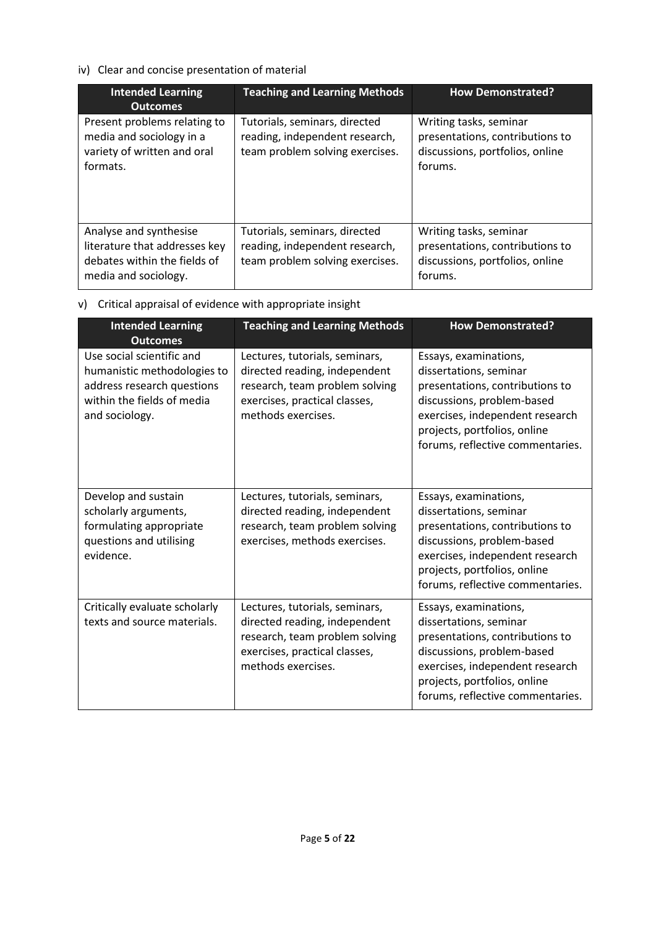## iv) Clear and concise presentation of material

| <b>Intended Learning</b><br><b>Outcomes</b>                                                                     | <b>Teaching and Learning Methods</b>                                                               | <b>How Demonstrated?</b>                                                                                |
|-----------------------------------------------------------------------------------------------------------------|----------------------------------------------------------------------------------------------------|---------------------------------------------------------------------------------------------------------|
| Present problems relating to<br>media and sociology in a<br>variety of written and oral<br>formats.             | Tutorials, seminars, directed<br>reading, independent research,<br>team problem solving exercises. | Writing tasks, seminar<br>presentations, contributions to<br>discussions, portfolios, online<br>forums. |
| Analyse and synthesise<br>literature that addresses key<br>debates within the fields of<br>media and sociology. | Tutorials, seminars, directed<br>reading, independent research,<br>team problem solving exercises. | Writing tasks, seminar<br>presentations, contributions to<br>discussions, portfolios, online<br>forums. |

## v) Critical appraisal of evidence with appropriate insight

| <b>Intended Learning</b><br><b>Outcomes</b>                                                                                            | <b>Teaching and Learning Methods</b>                                                                                                                     | <b>How Demonstrated?</b>                                                                                                                                                                                                |
|----------------------------------------------------------------------------------------------------------------------------------------|----------------------------------------------------------------------------------------------------------------------------------------------------------|-------------------------------------------------------------------------------------------------------------------------------------------------------------------------------------------------------------------------|
| Use social scientific and<br>humanistic methodologies to<br>address research questions<br>within the fields of media<br>and sociology. | Lectures, tutorials, seminars,<br>directed reading, independent<br>research, team problem solving<br>exercises, practical classes,<br>methods exercises. | Essays, examinations,<br>dissertations, seminar<br>presentations, contributions to<br>discussions, problem-based<br>exercises, independent research<br>projects, portfolios, online<br>forums, reflective commentaries. |
| Develop and sustain<br>scholarly arguments,<br>formulating appropriate<br>questions and utilising<br>evidence.                         | Lectures, tutorials, seminars,<br>directed reading, independent<br>research, team problem solving<br>exercises, methods exercises.                       | Essays, examinations,<br>dissertations, seminar<br>presentations, contributions to<br>discussions, problem-based<br>exercises, independent research<br>projects, portfolios, online<br>forums, reflective commentaries. |
| Critically evaluate scholarly<br>texts and source materials.                                                                           | Lectures, tutorials, seminars,<br>directed reading, independent<br>research, team problem solving<br>exercises, practical classes,<br>methods exercises. | Essays, examinations,<br>dissertations, seminar<br>presentations, contributions to<br>discussions, problem-based<br>exercises, independent research<br>projects, portfolios, online<br>forums, reflective commentaries. |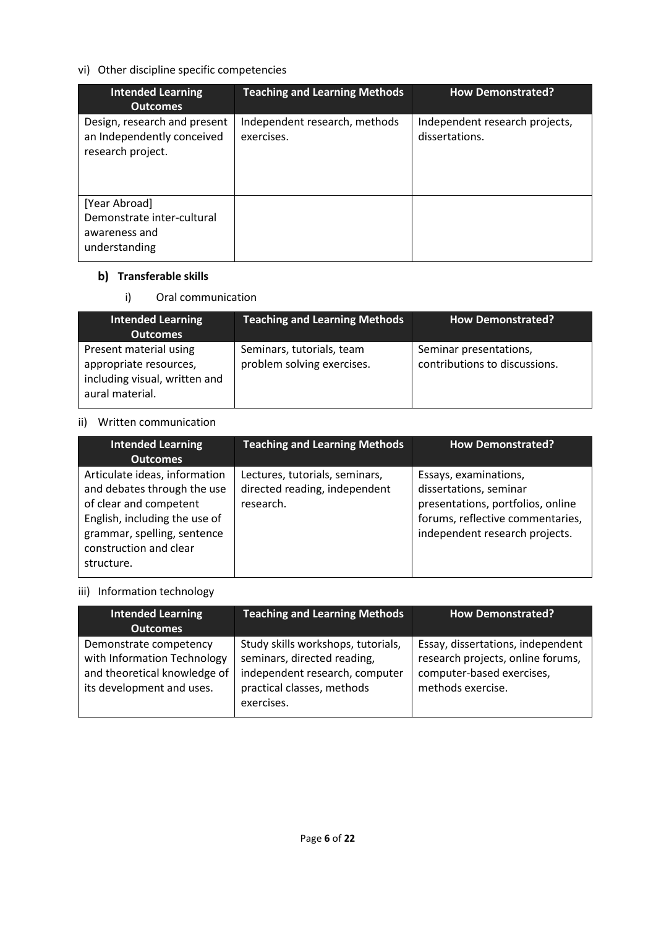## vi) Other discipline specific competencies

| <b>Intended Learning</b><br><b>Outcomes</b>                                     | <b>Teaching and Learning Methods</b>        | <b>How Demonstrated?</b>                         |
|---------------------------------------------------------------------------------|---------------------------------------------|--------------------------------------------------|
| Design, research and present<br>an Independently conceived<br>research project. | Independent research, methods<br>exercises. | Independent research projects,<br>dissertations. |
| [Year Abroad]<br>Demonstrate inter-cultural<br>awareness and<br>understanding   |                                             |                                                  |

## **b)** Transferable skills

i) Oral communication

| Intended Learning<br><b>Outcomes</b>                                                                 | <b>Teaching and Learning Methods</b>                    | How Demonstrated?                                       |
|------------------------------------------------------------------------------------------------------|---------------------------------------------------------|---------------------------------------------------------|
| Present material using<br>appropriate resources,<br>including visual, written and<br>aural material. | Seminars, tutorials, team<br>problem solving exercises. | Seminar presentations,<br>contributions to discussions. |

## ii) Written communication

| <b>Intended Learning</b><br><b>Outcomes</b>                                                                                                                                                    | <b>Teaching and Learning Methods</b>                                         | <b>How Demonstrated?</b>                                                                                                                                   |
|------------------------------------------------------------------------------------------------------------------------------------------------------------------------------------------------|------------------------------------------------------------------------------|------------------------------------------------------------------------------------------------------------------------------------------------------------|
| Articulate ideas, information<br>and debates through the use<br>of clear and competent<br>English, including the use of<br>grammar, spelling, sentence<br>construction and clear<br>structure. | Lectures, tutorials, seminars,<br>directed reading, independent<br>research. | Essays, examinations,<br>dissertations, seminar<br>presentations, portfolios, online<br>forums, reflective commentaries,<br>independent research projects. |

## iii) Information technology

| <b>Intended Learning</b><br><b>Outcomes</b>                                                                        | <b>Teaching and Learning Methods</b>                                                                                                            | <b>How Demonstrated?</b>                                                                                                 |
|--------------------------------------------------------------------------------------------------------------------|-------------------------------------------------------------------------------------------------------------------------------------------------|--------------------------------------------------------------------------------------------------------------------------|
| Demonstrate competency<br>with Information Technology<br>and theoretical knowledge of<br>its development and uses. | Study skills workshops, tutorials,<br>seminars, directed reading,<br>independent research, computer<br>practical classes, methods<br>exercises. | Essay, dissertations, independent<br>research projects, online forums,<br>computer-based exercises,<br>methods exercise. |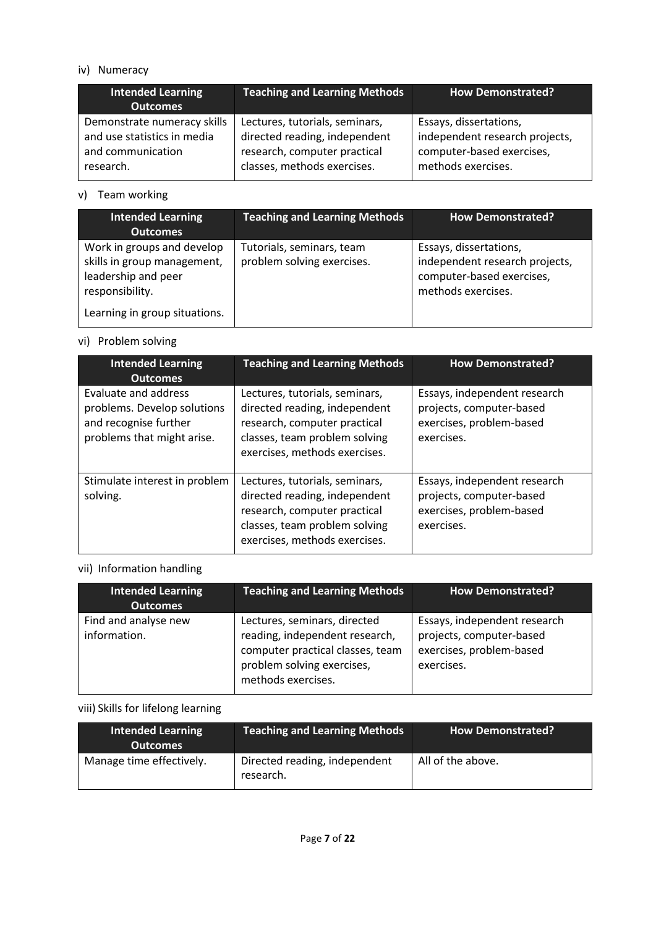### iv) Numeracy

| <b>Intended Learning</b><br><b>Outcomes</b> | <b>Teaching and Learning Methods</b> | How Demonstrated?              |
|---------------------------------------------|--------------------------------------|--------------------------------|
| Demonstrate numeracy skills                 | Lectures, tutorials, seminars,       | Essays, dissertations,         |
| and use statistics in media                 | directed reading, independent        | independent research projects, |
| and communication                           | research, computer practical         | computer-based exercises,      |
| research.                                   | classes, methods exercises.          | methods exercises.             |

## v) Team working

| <b>Intended Learning</b><br><b>Outcomes</b>                                                         | <b>Teaching and Learning Methods</b>                    | <b>How Demonstrated?</b>                                                                                    |
|-----------------------------------------------------------------------------------------------------|---------------------------------------------------------|-------------------------------------------------------------------------------------------------------------|
| Work in groups and develop<br>skills in group management,<br>leadership and peer<br>responsibility. | Tutorials, seminars, team<br>problem solving exercises. | Essays, dissertations,<br>independent research projects,<br>computer-based exercises,<br>methods exercises. |
| Learning in group situations.                                                                       |                                                         |                                                                                                             |

## vi) Problem solving

| <b>Intended Learning</b><br><b>Outcomes</b>                                                                       | <b>Teaching and Learning Methods</b>                                                                                                                              | <b>How Demonstrated?</b>                                                                           |
|-------------------------------------------------------------------------------------------------------------------|-------------------------------------------------------------------------------------------------------------------------------------------------------------------|----------------------------------------------------------------------------------------------------|
| <b>Evaluate and address</b><br>problems. Develop solutions<br>and recognise further<br>problems that might arise. | Lectures, tutorials, seminars,<br>directed reading, independent<br>research, computer practical<br>classes, team problem solving<br>exercises, methods exercises. | Essays, independent research<br>projects, computer-based<br>exercises, problem-based<br>exercises. |
| Stimulate interest in problem<br>solving.                                                                         | Lectures, tutorials, seminars,<br>directed reading, independent<br>research, computer practical<br>classes, team problem solving<br>exercises, methods exercises. | Essays, independent research<br>projects, computer-based<br>exercises, problem-based<br>exercises. |

## vii) Information handling

| Intended Learning<br><b>Outcomes</b> | <b>Teaching and Learning Methods</b>                                                                                                                   | <b>How Demonstrated?</b>                                                                           |
|--------------------------------------|--------------------------------------------------------------------------------------------------------------------------------------------------------|----------------------------------------------------------------------------------------------------|
| Find and analyse new<br>information. | Lectures, seminars, directed<br>reading, independent research,<br>computer practical classes, team<br>problem solving exercises,<br>methods exercises. | Essays, independent research<br>projects, computer-based<br>exercises, problem-based<br>exercises. |

## viii) Skills for lifelong learning

| <b>Intended Learning</b><br><b>Outcomes</b> | <b>Teaching and Learning Methods</b>       | How Demonstrated? |
|---------------------------------------------|--------------------------------------------|-------------------|
| Manage time effectively.                    | Directed reading, independent<br>research. | All of the above. |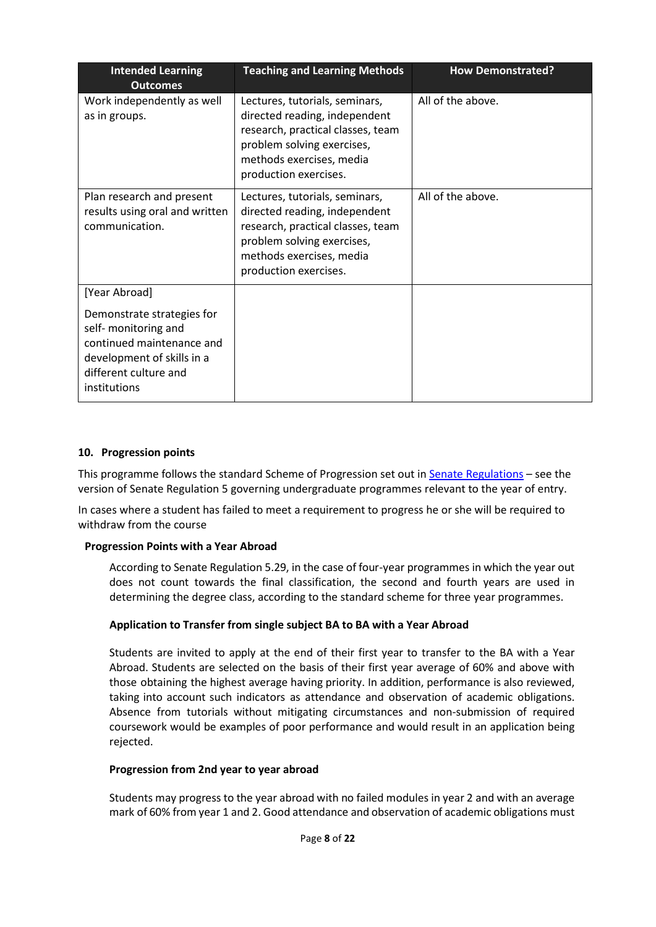| <b>Intended Learning</b><br><b>Outcomes</b>                                                                                                            | <b>Teaching and Learning Methods</b>                                                                                                                                                    | <b>How Demonstrated?</b> |
|--------------------------------------------------------------------------------------------------------------------------------------------------------|-----------------------------------------------------------------------------------------------------------------------------------------------------------------------------------------|--------------------------|
| Work independently as well<br>as in groups.                                                                                                            | Lectures, tutorials, seminars,<br>directed reading, independent<br>research, practical classes, team<br>problem solving exercises,<br>methods exercises, media<br>production exercises. | All of the above.        |
| Plan research and present<br>results using oral and written<br>communication.                                                                          | Lectures, tutorials, seminars,<br>directed reading, independent<br>research, practical classes, team<br>problem solving exercises,<br>methods exercises, media<br>production exercises. | All of the above.        |
| [Year Abroad]                                                                                                                                          |                                                                                                                                                                                         |                          |
| Demonstrate strategies for<br>self- monitoring and<br>continued maintenance and<br>development of skills in a<br>different culture and<br>institutions |                                                                                                                                                                                         |                          |

#### **10. Progression points**

This programme follows the standard Scheme of Progression set out i[n Senate Regulations](http://www.le.ac.uk/senate-regulations) – see the version of Senate Regulation 5 governing undergraduate programmes relevant to the year of entry.

In cases where a student has failed to meet a requirement to progress he or she will be required to withdraw from the course

#### **Progression Points with a Year Abroad**

According to Senate Regulation 5.29, in the case of four-year programmes in which the year out does not count towards the final classification, the second and fourth years are used in determining the degree class, according to the standard scheme for three year programmes.

#### **Application to Transfer from single subject BA to BA with a Year Abroad**

Students are invited to apply at the end of their first year to transfer to the BA with a Year Abroad. Students are selected on the basis of their first year average of 60% and above with those obtaining the highest average having priority. In addition, performance is also reviewed, taking into account such indicators as attendance and observation of academic obligations. Absence from tutorials without mitigating circumstances and non-submission of required coursework would be examples of poor performance and would result in an application being rejected.

#### **Progression from 2nd year to year abroad**

Students may progress to the year abroad with no failed modules in year 2 and with an average mark of 60% from year 1 and 2. Good attendance and observation of academic obligations must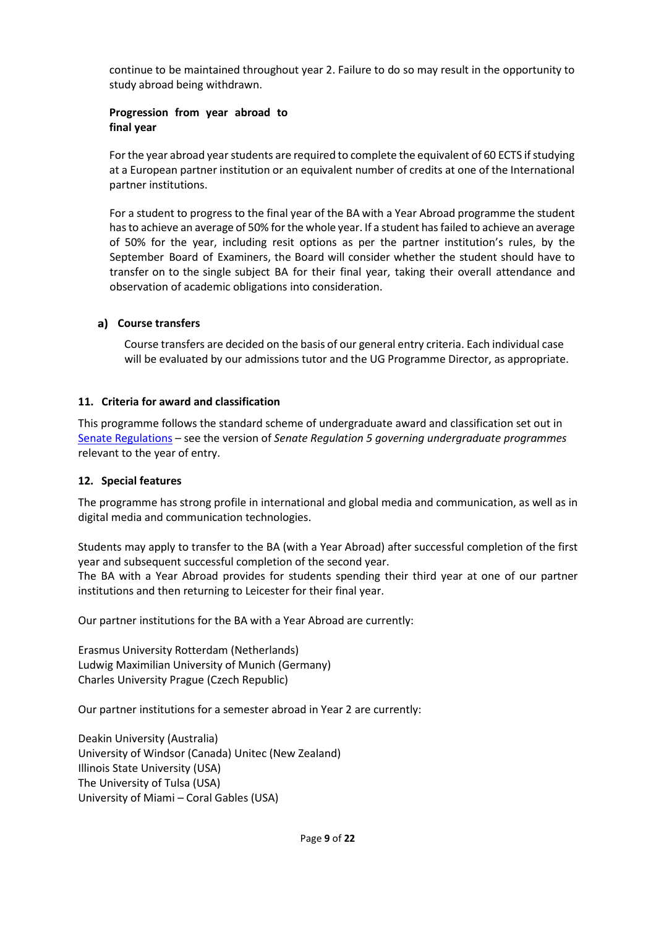continue to be maintained throughout year 2. Failure to do so may result in the opportunity to study abroad being withdrawn.

### **Progression from year abroad to final year**

For the year abroad year students are required to complete the equivalent of 60 ECTS if studying at a European partner institution or an equivalent number of credits at one of the International partner institutions.

For a student to progress to the final year of the BA with a Year Abroad programme the student hasto achieve an average of 50% for the whole year. If a student has failed to achieve an average of 50% for the year, including resit options as per the partner institution's rules, by the September Board of Examiners, the Board will consider whether the student should have to transfer on to the single subject BA for their final year, taking their overall attendance and observation of academic obligations into consideration.

### **Course transfers**

Course transfers are decided on the basis of our general entry criteria. Each individual case will be evaluated by our admissions tutor and the UG Programme Director, as appropriate.

### **11. Criteria for award and classification**

This programme follows the standard scheme of undergraduate award and classification set out in [Senate Regulations](http://www.le.ac.uk/senate-regulations) – see the version of *Senate Regulation 5 governing undergraduate programmes* relevant to the year of entry.

#### **12. Special features**

The programme has strong profile in international and global media and communication, as well as in digital media and communication technologies.

Students may apply to transfer to the BA (with a Year Abroad) after successful completion of the first year and subsequent successful completion of the second year.

The BA with a Year Abroad provides for students spending their third year at one of our partner institutions and then returning to Leicester for their final year.

Our partner institutions for the BA with a Year Abroad are currently:

Erasmus University Rotterdam (Netherlands) Ludwig Maximilian University of Munich (Germany) Charles University Prague (Czech Republic)

Our partner institutions for a semester abroad in Year 2 are currently:

Deakin University (Australia) University of Windsor (Canada) Unitec (New Zealand) Illinois State University (USA) The University of Tulsa (USA) University of Miami – Coral Gables (USA)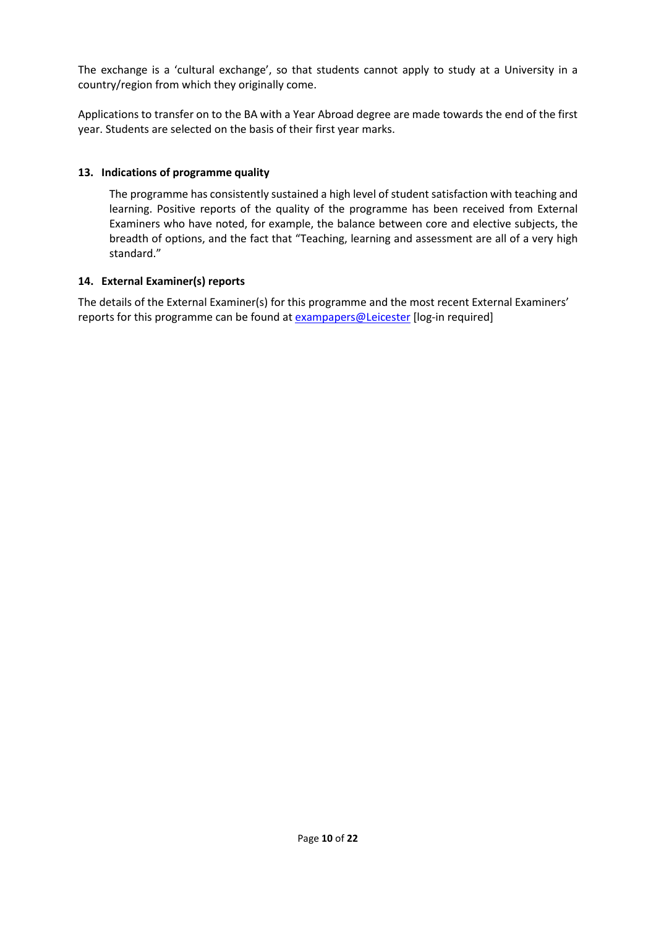The exchange is a 'cultural exchange', so that students cannot apply to study at a University in a country/region from which they originally come.

Applications to transfer on to the BA with a Year Abroad degree are made towards the end of the first year. Students are selected on the basis of their first year marks.

## **13. Indications of programme quality**

The programme has consistently sustained a high level of student satisfaction with teaching and learning. Positive reports of the quality of the programme has been received from External Examiners who have noted, for example, the balance between core and elective subjects, the breadth of options, and the fact that "Teaching, learning and assessment are all of a very high standard."

### **14. External Examiner(s) reports**

The details of the External Examiner(s) for this programme and the most recent External Examiners' reports for this programme can be found at **[exampapers@Leicester](https://exampapers.le.ac.uk/)** [log-in required]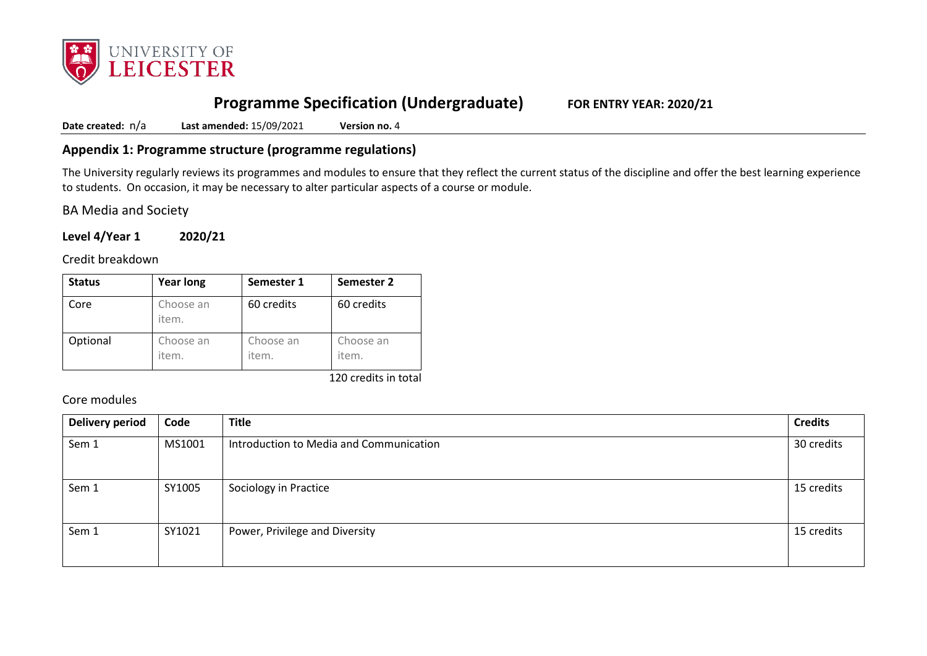

# **Programme Specification (Undergraduate) FOR ENTRY YEAR: 2020/21**

**Date created:** n/a **Last amended:** 15/09/2021 **Version no.** 4

## **Appendix 1: Programme structure (programme regulations)**

The University regularly reviews its programmes and modules to ensure that they reflect the current status of the discipline and offer the best learning experience to students. On occasion, it may be necessary to alter particular aspects of a course or module.

BA Media and Society

**Level 4/Year 1 2020/21**

Credit breakdown

| <b>Status</b> | <b>Year long</b>   | Semester 1         | Semester 2         |
|---------------|--------------------|--------------------|--------------------|
| Core          | Choose an<br>item. | 60 credits         | 60 credits         |
| Optional      | Choose an<br>item. | Choose an<br>item. | Choose an<br>item. |

120 credits in total

Core modules

| <b>Delivery period</b> | Code   | <b>Title</b>                            | <b>Credits</b> |
|------------------------|--------|-----------------------------------------|----------------|
| Sem 1                  | MS1001 | Introduction to Media and Communication | 30 credits     |
| Sem 1                  | SY1005 | Sociology in Practice                   | 15 credits     |
| Sem 1                  | SY1021 | Power, Privilege and Diversity          | 15 credits     |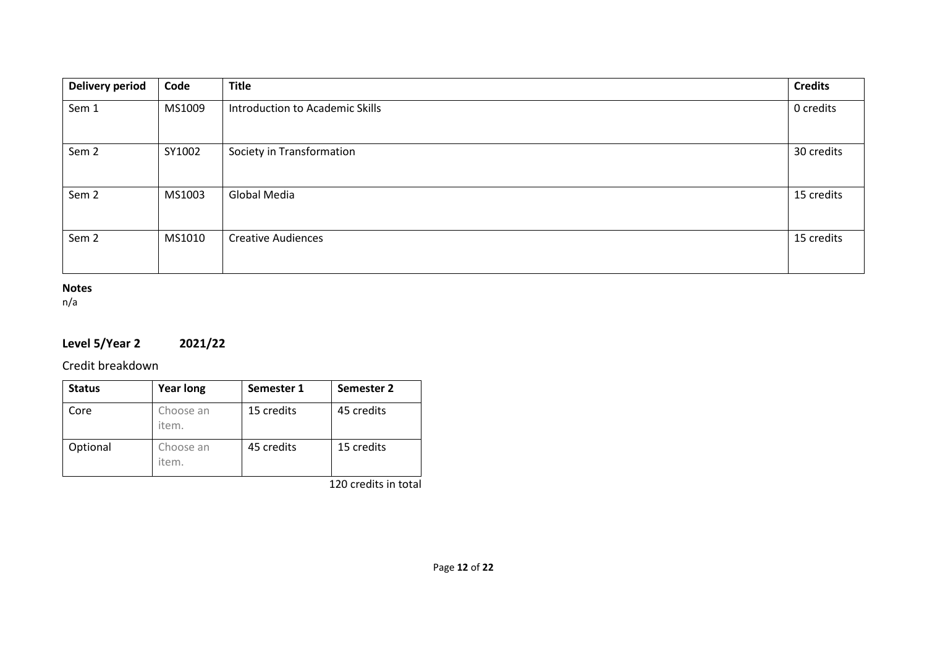| <b>Delivery period</b> | Code   | <b>Title</b>                    | <b>Credits</b> |
|------------------------|--------|---------------------------------|----------------|
| Sem 1                  | MS1009 | Introduction to Academic Skills | 0 credits      |
| Sem <sub>2</sub>       | SY1002 | Society in Transformation       | 30 credits     |
| Sem <sub>2</sub>       | MS1003 | Global Media                    | 15 credits     |
| Sem <sub>2</sub>       | MS1010 | <b>Creative Audiences</b>       | 15 credits     |

## **Notes**

n/a

# **Level 5/Year 2 2021/22**

Credit breakdown

| <b>Status</b> | <b>Year long</b>   | Semester 1 | Semester 2 |
|---------------|--------------------|------------|------------|
| Core          | Choose an<br>item. | 15 credits | 45 credits |
| Optional      | Choose an<br>item. | 45 credits | 15 credits |

120 credits in total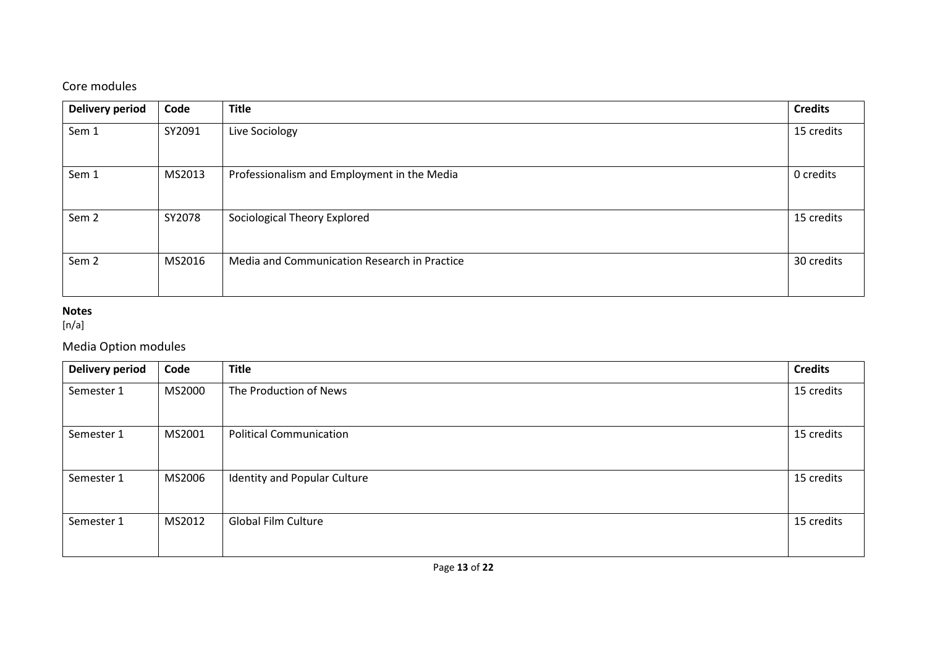## Core modules

| <b>Delivery period</b> | Code   | <b>Title</b>                                 | <b>Credits</b> |
|------------------------|--------|----------------------------------------------|----------------|
| Sem 1                  | SY2091 | Live Sociology                               | 15 credits     |
| Sem 1                  | MS2013 | Professionalism and Employment in the Media  | 0 credits      |
| Sem <sub>2</sub>       | SY2078 | Sociological Theory Explored                 | 15 credits     |
| Sem <sub>2</sub>       | MS2016 | Media and Communication Research in Practice | 30 credits     |

## **Notes**

[n/a]

## Media Option modules

| <b>Delivery period</b> | Code   | <b>Title</b>                   | <b>Credits</b> |
|------------------------|--------|--------------------------------|----------------|
| Semester 1             | MS2000 | The Production of News         | 15 credits     |
| Semester 1             | MS2001 | <b>Political Communication</b> | 15 credits     |
| Semester 1             | MS2006 | Identity and Popular Culture   | 15 credits     |
| Semester 1             | MS2012 | <b>Global Film Culture</b>     | 15 credits     |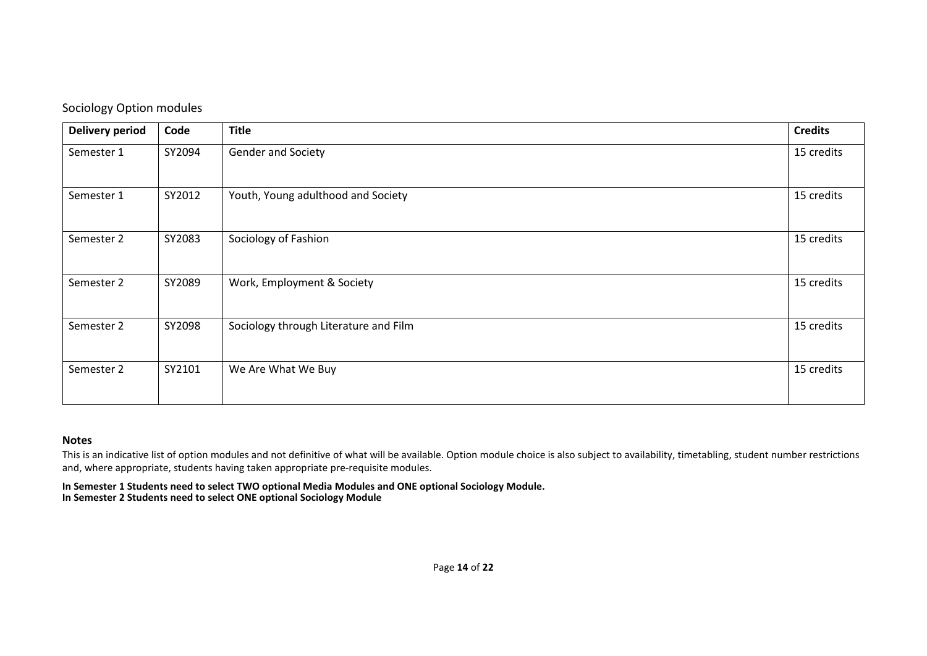| Delivery period | Code   | <b>Title</b>                          | <b>Credits</b> |
|-----------------|--------|---------------------------------------|----------------|
| Semester 1      | SY2094 | Gender and Society                    | 15 credits     |
| Semester 1      | SY2012 | Youth, Young adulthood and Society    | 15 credits     |
| Semester 2      | SY2083 | Sociology of Fashion                  | 15 credits     |
| Semester 2      | SY2089 | Work, Employment & Society            | 15 credits     |
| Semester 2      | SY2098 | Sociology through Literature and Film | 15 credits     |
| Semester 2      | SY2101 | We Are What We Buy                    | 15 credits     |

#### **Notes**

This is an indicative list of option modules and not definitive of what will be available. Option module choice is also subject to availability, timetabling, student number restrictions and, where appropriate, students having taken appropriate pre-requisite modules.

**In Semester 1 Students need to select TWO optional Media Modules and ONE optional Sociology Module. In Semester 2 Students need to select ONE optional Sociology Module**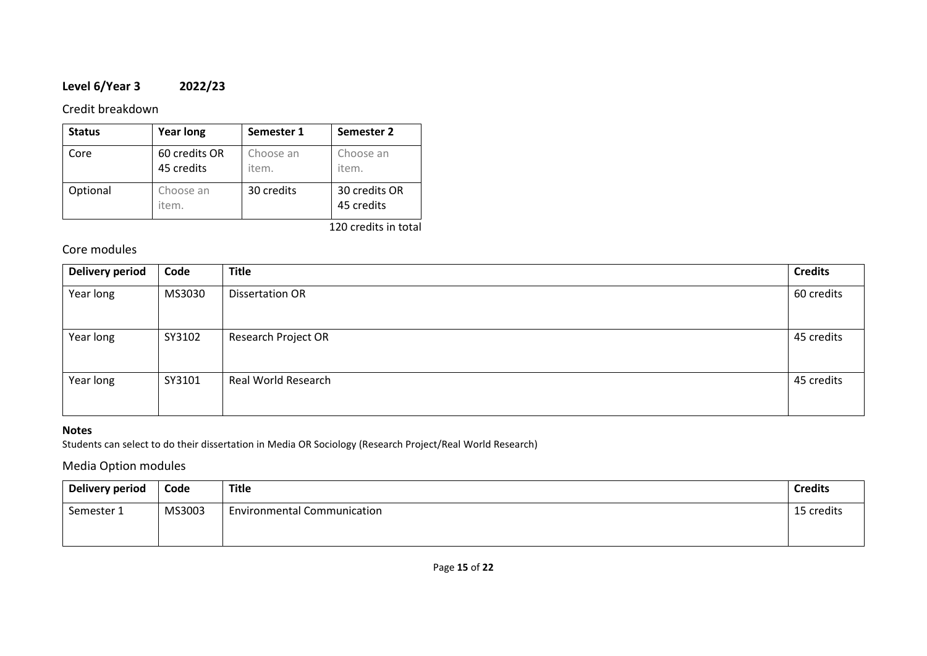## **Level 6/Year 3 2022/23**

### Credit breakdown

| <b>Status</b> | <b>Year long</b>            | Semester 1         | <b>Semester 2</b>           |
|---------------|-----------------------------|--------------------|-----------------------------|
| Core          | 60 credits OR<br>45 credits | Choose an<br>item. | Choose an<br>item.          |
| Optional      | Choose an<br>item.          | 30 credits         | 30 credits OR<br>45 credits |
|               |                             |                    | 120 credits in total        |

## Core modules

| <b>Delivery period</b> | Code   | <b>Title</b>               | <b>Credits</b> |
|------------------------|--------|----------------------------|----------------|
| Year long              | MS3030 | <b>Dissertation OR</b>     | 60 credits     |
| Year long              | SY3102 | <b>Research Project OR</b> | 45 credits     |
| Year long              | SY3101 | Real World Research        | 45 credits     |

### **Notes**

Students can select to do their dissertation in Media OR Sociology (Research Project/Real World Research)

## Media Option modules

| <b>Delivery period</b> | Code   | <b>Title</b>                       | <b>Credits</b> |
|------------------------|--------|------------------------------------|----------------|
| Semester 1             | MS3003 | <b>Environmental Communication</b> | 15 credits     |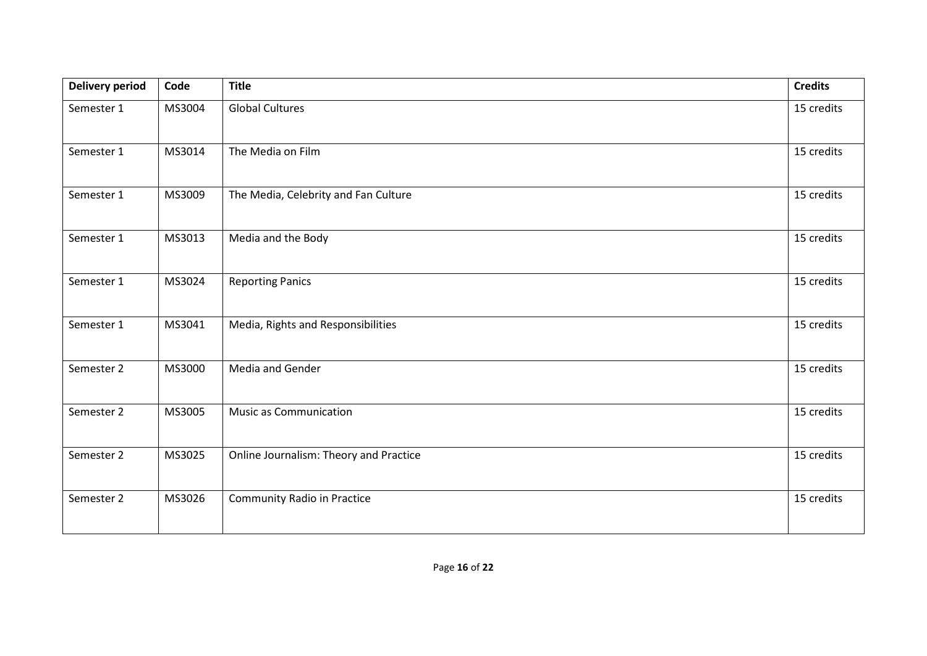| <b>Delivery period</b> | Code   | <b>Title</b>                           | <b>Credits</b> |
|------------------------|--------|----------------------------------------|----------------|
| Semester 1             | MS3004 | <b>Global Cultures</b>                 | 15 credits     |
| Semester 1             | MS3014 | The Media on Film                      | 15 credits     |
| Semester 1             | MS3009 | The Media, Celebrity and Fan Culture   | 15 credits     |
| Semester 1             | MS3013 | Media and the Body                     | 15 credits     |
| Semester 1             | MS3024 | <b>Reporting Panics</b>                | 15 credits     |
| Semester 1             | MS3041 | Media, Rights and Responsibilities     | 15 credits     |
| Semester 2             | MS3000 | Media and Gender                       | 15 credits     |
| Semester 2             | MS3005 | Music as Communication                 | 15 credits     |
| Semester 2             | MS3025 | Online Journalism: Theory and Practice | 15 credits     |
| Semester 2             | MS3026 | <b>Community Radio in Practice</b>     | 15 credits     |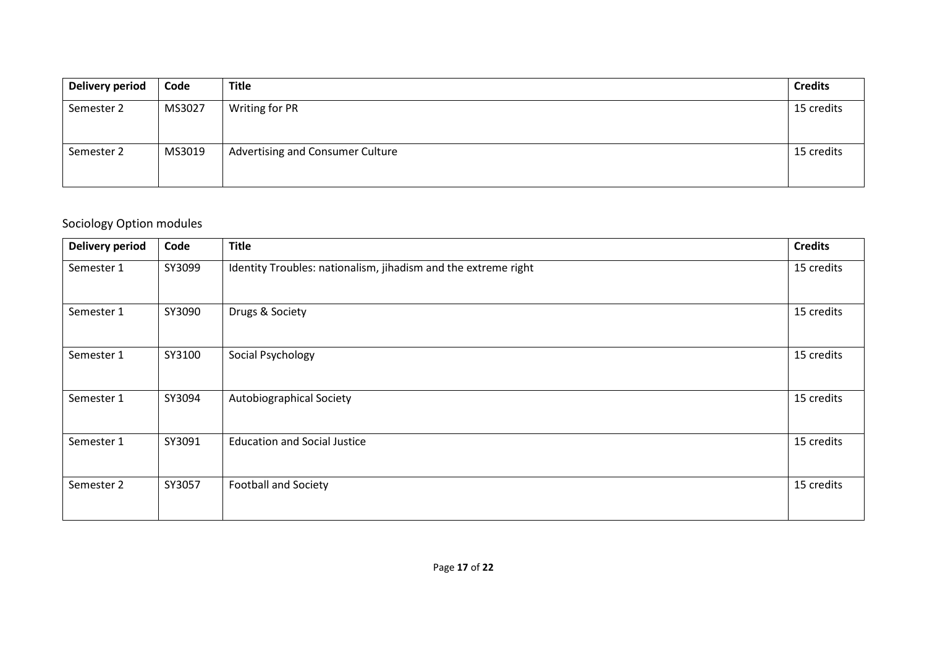| <b>Delivery period</b> | Code   | <b>Title</b>                     | <b>Credits</b> |
|------------------------|--------|----------------------------------|----------------|
| Semester 2             | MS3027 | Writing for PR                   | 15 credits     |
| Semester 2             | MS3019 | Advertising and Consumer Culture | 15 credits     |

# Sociology Option modules

| <b>Delivery period</b> | Code   | <b>Title</b>                                                   | <b>Credits</b> |
|------------------------|--------|----------------------------------------------------------------|----------------|
| Semester 1             | SY3099 | Identity Troubles: nationalism, jihadism and the extreme right | 15 credits     |
| Semester 1             | SY3090 | Drugs & Society                                                | 15 credits     |
| Semester 1             | SY3100 | Social Psychology                                              | 15 credits     |
| Semester 1             | SY3094 | Autobiographical Society                                       | 15 credits     |
| Semester 1             | SY3091 | <b>Education and Social Justice</b>                            | 15 credits     |
| Semester 2             | SY3057 | <b>Football and Society</b>                                    | 15 credits     |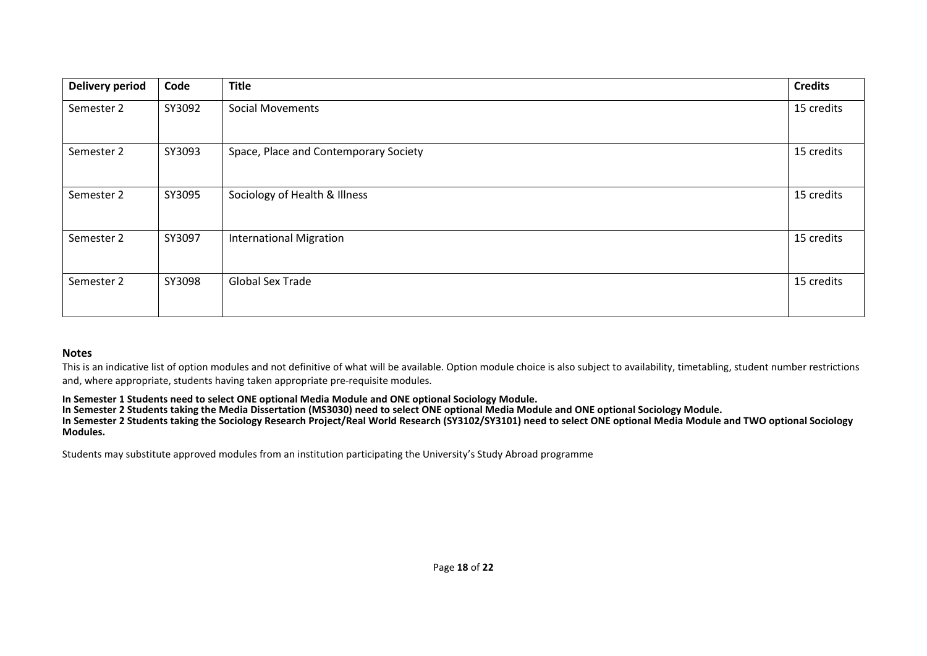| <b>Delivery period</b> | Code   | <b>Title</b>                          | <b>Credits</b> |
|------------------------|--------|---------------------------------------|----------------|
| Semester 2             | SY3092 | <b>Social Movements</b>               | 15 credits     |
| Semester 2             | SY3093 | Space, Place and Contemporary Society | 15 credits     |
| Semester 2             | SY3095 | Sociology of Health & Illness         | 15 credits     |
| Semester 2             | SY3097 | <b>International Migration</b>        | 15 credits     |
| Semester 2             | SY3098 | <b>Global Sex Trade</b>               | 15 credits     |

#### **Notes**

This is an indicative list of option modules and not definitive of what will be available. Option module choice is also subject to availability, timetabling, student number restrictions and, where appropriate, students having taken appropriate pre-requisite modules.

#### **In Semester 1 Students need to select ONE optional Media Module and ONE optional Sociology Module.**

**In Semester 2 Students taking the Media Dissertation (MS3030) need to select ONE optional Media Module and ONE optional Sociology Module.**

**In Semester 2 Students taking the Sociology Research Project/Real World Research (SY3102/SY3101) need to select ONE optional Media Module and TWO optional Sociology Modules.**

Students may substitute approved modules from an institution participating the University's Study Abroad programme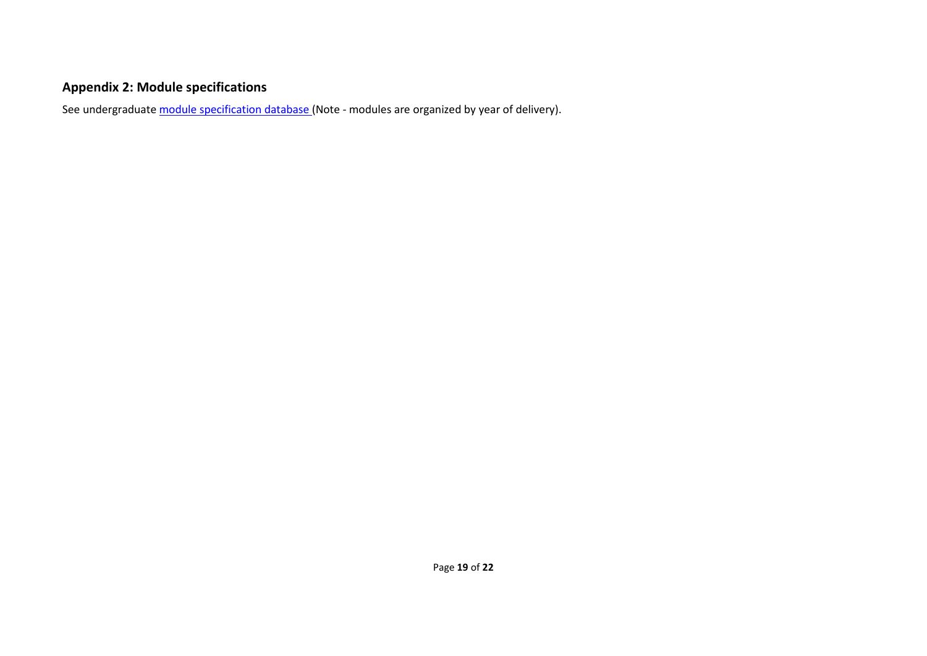# **Appendix 2: Module specifications**

See undergraduat[e module specification database](http://www.le.ac.uk/sas/courses/documentation) (Note - modules are organized by year of delivery).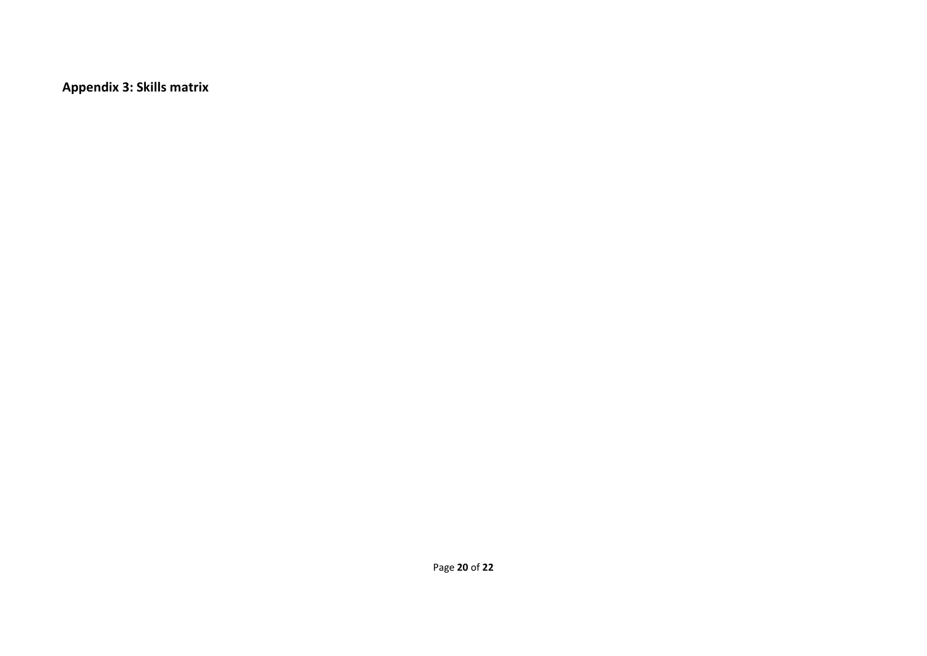**Appendix 3: Skills matrix**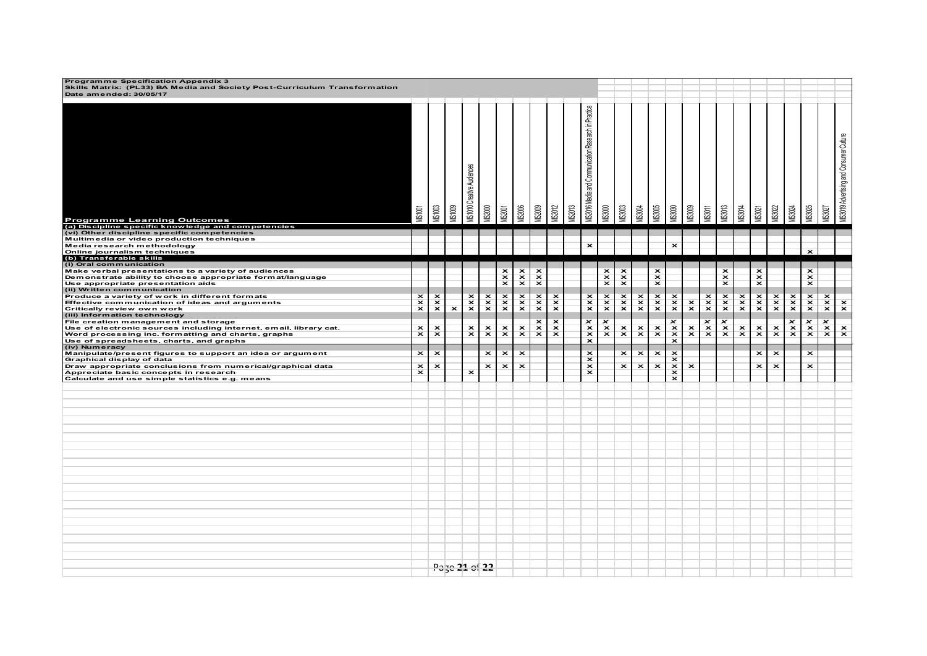| Programme Specification Appendix 3<br>Skills Matrix: (PL33) BA Media and Society Post-Curriculum Transformation<br>Date amended: 30/05/17 |                                                    |                         |                         |                                   |                         |                         |                         |                                                    |                         |               |                                                             |                                                            |                                                    |                           |                                                    |                                 |                                 |               |                                 |                                 |                                                    |                         |               |                                 |                                 |                                         |
|-------------------------------------------------------------------------------------------------------------------------------------------|----------------------------------------------------|-------------------------|-------------------------|-----------------------------------|-------------------------|-------------------------|-------------------------|----------------------------------------------------|-------------------------|---------------|-------------------------------------------------------------|------------------------------------------------------------|----------------------------------------------------|---------------------------|----------------------------------------------------|---------------------------------|---------------------------------|---------------|---------------------------------|---------------------------------|----------------------------------------------------|-------------------------|---------------|---------------------------------|---------------------------------|-----------------------------------------|
| <b>Programme Learning Outcomes</b><br>(a) Discipline specific knowledge and competencies                                                  | <b>MS1001</b>                                      | <b>MS1003</b>           | <b>MS1009</b>           | <b>VIS1010 Creative Audiences</b> | <b>MS2000</b>           | <b>MS2001</b>           | <b>MS2006</b>           | <b>MS2009</b>                                      | <b>MS2012</b>           | <b>MS2013</b> | <b>VIS2016 Media and Communication Research in Practice</b> | <b>MS3000</b>                                              | <b>MS3003</b>                                      | <b>MSSMA</b>              | <b>VIS3005</b>                                     | MS3030                          | <b>MS3009</b>                   | <b>MS3011</b> | <b>MS3013</b>                   | <b>MS3014</b>                   | MS3021                                             | <b>MS3022</b>           | <b>MS3024</b> | <b>MS3025</b>                   | <b>MS3027</b>                   | MS3019 Advertising and Consumer Culture |
| (vi) Other discipline specific competencies                                                                                               |                                                    |                         |                         |                                   |                         |                         |                         |                                                    |                         |               |                                                             |                                                            |                                                    |                           |                                                    |                                 |                                 |               |                                 |                                 |                                                    |                         |               |                                 |                                 |                                         |
| Multimedia or video production techniques<br>Media research methodology                                                                   |                                                    |                         |                         |                                   |                         |                         |                         |                                                    |                         |               | $\overline{\mathbf{x}}$                                     |                                                            |                                                    |                           |                                                    | $\overline{\mathbf{x}}$         |                                 |               |                                 |                                 |                                                    |                         |               |                                 |                                 |                                         |
| Online journalism techniques<br>(b) Transferable skills                                                                                   |                                                    |                         |                         |                                   |                         |                         |                         |                                                    |                         |               |                                                             |                                                            |                                                    |                           |                                                    |                                 |                                 |               |                                 |                                 |                                                    |                         |               | $\overline{\mathbf{x}}$         |                                 |                                         |
| (i) Oral communication                                                                                                                    |                                                    |                         |                         |                                   |                         |                         |                         |                                                    |                         |               |                                                             |                                                            |                                                    |                           |                                                    |                                 |                                 |               | $\overline{\mathbf{x}}$         |                                 |                                                    |                         |               | $\overline{\mathbf{x}}$         |                                 |                                         |
| Make verbal presentations to a variety of audiences<br>Demonstrate ability to choose appropriate format/language                          |                                                    |                         |                         |                                   |                         | $\times$                | $\frac{x}{x}$           | $\overline{\mathbf{x}}$<br>$\overline{\mathbf{x}}$ |                         |               |                                                             | $\overline{\mathbf{x}}$<br>$\frac{\mathbf{x}}{\mathbf{x}}$ | $\overline{\mathbf{x}}$<br>$\overline{\mathbf{x}}$ |                           | $\overline{\mathbf{x}}$<br>$\overline{\mathbf{x}}$ |                                 |                                 |               | $\overline{\mathbf{x}}$         |                                 | $\overline{\mathbf{x}}$<br>$\overline{\mathbf{x}}$ |                         |               | $\overline{\mathbf{x}}$         |                                 |                                         |
| Use appropriate presentation aids<br>(ii) Written communication                                                                           |                                                    |                         |                         |                                   |                         |                         |                         | $\overline{\mathbf{x}}$                            |                         |               |                                                             |                                                            | $\overline{\mathbf{x}}$                            |                           | $\overline{\mathbf{x}}$                            |                                 |                                 |               | $\overline{\mathbf{x}}$         |                                 | $\overline{\mathbf{x}}$                            |                         |               | $\overline{\mathbf{x}}$         |                                 |                                         |
| Produce a variety of work in different formats                                                                                            | $\overline{\mathbf{x}}$                            |                         |                         | $\mathbf{x}$                      |                         |                         |                         | $\mathbf{x}$                                       | $\mathbf{x}$            |               |                                                             |                                                            |                                                    |                           |                                                    |                                 |                                 |               |                                 |                                 |                                                    |                         |               |                                 |                                 |                                         |
| Effective communication of ideas and arguments                                                                                            | $\overline{\mathbf{x}}$<br>$\overline{\mathbf{x}}$ | $\frac{x}{x}$           | $\overline{\mathbf{x}}$ | $\overline{\mathbf{x}}$           | $x \times$              | $\frac{x}{x}$           | $\frac{x}{x}$           | $\overline{\mathbf{x}}$                            | $\overline{\mathbf{x}}$ |               | $\frac{\mathbf{x}}{\mathbf{x}}$                             | $\frac{x}{x}$                                              | $\frac{x}{x}$                                      | $x \times$                | $x \times$                                         | $\frac{\mathbf{x}}{\mathbf{x}}$ | $\frac{\mathsf{x}}{\mathsf{x}}$ | $x \times$    | $x \times$                      | $\frac{x}{x}$                   | $\frac{x}{x}$                                      | $x \times$              | $x \times$    | $x \times$                      | $x \times$                      | $\mathbf{x}$                            |
| Critically review own work<br>(iii) Information technology                                                                                |                                                    |                         |                         |                                   |                         |                         |                         |                                                    |                         |               |                                                             |                                                            |                                                    |                           |                                                    |                                 |                                 |               |                                 |                                 |                                                    |                         |               |                                 |                                 |                                         |
| File creation management and storage                                                                                                      |                                                    |                         |                         |                                   |                         |                         |                         | $\mathbf x$                                        | $\pmb{\times}$          |               | $\overline{\mathbf{x}}$                                     | $\overline{\mathbf{x}}$                                    |                                                    |                           |                                                    | ×                               |                                 | ×             | $\boldsymbol{\mathsf{x}}$       |                                 |                                                    |                         | ×             | $\boldsymbol{\mathsf{x}}$       | $\overline{\mathbf{x}}$         |                                         |
| Use of electronic sources including internet, email, library cat.<br>Word processing inc. formatting and charts, graphs                   | $\overline{\mathbf{x}}$<br>$\overline{\mathbf{x}}$ | $\mathbf{x}$            |                         | $\frac{\mathsf{x}}{\mathsf{x}}$   | $\mathbf{x}$            | $\mathbf{x}$            | $\mathbf{x}$            | $\mathbf{x}$                                       | $\mathbf{x}$            |               | $\frac{\mathsf{x}}{\mathsf{x}}$                             | $\mathbf{x}$                                               | $\frac{\mathsf{x}}{\mathsf{x}}$                    | $\mathbf{x}$              | $\mathbf{x}$                                       | $\times$                        | $\mathbf{x}$                    | $\mathbf{x}$  | $\frac{\mathbf{x}}{\mathbf{x}}$ | $\frac{\mathsf{x}}{\mathsf{x}}$ | $\mathbf{x}$                                       | $\mathbf{x}$            | $\mathbf{x}$  | $\frac{\mathsf{x}}{\mathsf{x}}$ | $\frac{\mathsf{x}}{\mathsf{x}}$ | $\mathbf{x}$                            |
| Use of spreadsheets, charts, and graphs                                                                                                   |                                                    |                         |                         |                                   |                         |                         |                         |                                                    |                         |               |                                                             |                                                            |                                                    |                           |                                                    |                                 |                                 |               |                                 |                                 |                                                    |                         |               |                                 |                                 |                                         |
| (iv) Numeracy<br>Manipulate/present figures to support an idea or argument                                                                | $\overline{\mathbf{x}}$                            | $\overline{\mathbf{x}}$ |                         |                                   | $\overline{\mathbf{x}}$ | $\overline{\mathbf{x}}$ | $\overline{\mathbf{x}}$ |                                                    |                         |               | $\overline{\mathbf{x}}$                                     |                                                            | $\pmb{\times}$                                     | $\boldsymbol{\mathsf{x}}$ | $\overline{\mathbf{x}}$                            | $\overline{\mathbf{x}}$         |                                 |               |                                 |                                 | $\overline{\mathbf{x}}$                            | $\overline{\mathbf{x}}$ |               | $\mathbf{x}$                    |                                 |                                         |
| Graphical display of data                                                                                                                 |                                                    |                         |                         |                                   |                         |                         |                         |                                                    |                         |               | $\overline{\mathbf{x}}$                                     |                                                            |                                                    |                           |                                                    | $\overline{\mathbf{x}}$         |                                 |               |                                 |                                 |                                                    |                         |               |                                 |                                 |                                         |
| Draw appropriate conclusions from numerical/graphical data<br>Appreciate basic concepts in research                                       | $\overline{\mathbf{x}}$<br>$\overline{\mathbf{x}}$ | $\overline{\mathbf{x}}$ |                         | $\overline{\mathbf{x}}$           | $\overline{\mathbf{x}}$ | $\overline{\mathbf{x}}$ | $\overline{\mathbf{x}}$ |                                                    |                         |               | $\overline{\mathbf{x}}$<br>$\overline{\mathbf{x}}$          |                                                            | $\pmb{\times}$                                     | $\overline{\mathbf{x}}$   | $\overline{\mathbf{x}}$                            | $\frac{x}{x}$                   | $\overline{\mathbf{x}}$         |               |                                 |                                 | $\overline{\mathbf{x}}$                            | $\overline{\mathbf{x}}$ |               | $\overline{\mathbf{x}}$         |                                 |                                         |
| Calculate and use simple statistics e.g. means                                                                                            |                                                    |                         |                         |                                   |                         |                         |                         |                                                    |                         |               |                                                             |                                                            |                                                    |                           |                                                    | $\overline{\mathbf{x}}$         |                                 |               |                                 |                                 |                                                    |                         |               |                                 |                                 |                                         |
|                                                                                                                                           |                                                    |                         |                         |                                   |                         |                         |                         |                                                    |                         |               |                                                             |                                                            |                                                    |                           |                                                    |                                 |                                 |               |                                 |                                 |                                                    |                         |               |                                 |                                 |                                         |
|                                                                                                                                           |                                                    |                         |                         |                                   |                         |                         |                         |                                                    |                         |               |                                                             |                                                            |                                                    |                           |                                                    |                                 |                                 |               |                                 |                                 |                                                    |                         |               |                                 |                                 |                                         |
|                                                                                                                                           |                                                    |                         |                         |                                   |                         |                         |                         |                                                    |                         |               |                                                             |                                                            |                                                    |                           |                                                    |                                 |                                 |               |                                 |                                 |                                                    |                         |               |                                 |                                 |                                         |
|                                                                                                                                           |                                                    |                         |                         |                                   |                         |                         |                         |                                                    |                         |               |                                                             |                                                            |                                                    |                           |                                                    |                                 |                                 |               |                                 |                                 |                                                    |                         |               |                                 |                                 |                                         |
|                                                                                                                                           |                                                    |                         |                         |                                   |                         |                         |                         |                                                    |                         |               |                                                             |                                                            |                                                    |                           |                                                    |                                 |                                 |               |                                 |                                 |                                                    |                         |               |                                 |                                 |                                         |
|                                                                                                                                           |                                                    |                         |                         |                                   |                         |                         |                         |                                                    |                         |               |                                                             |                                                            |                                                    |                           |                                                    |                                 |                                 |               |                                 |                                 |                                                    |                         |               |                                 |                                 |                                         |
|                                                                                                                                           |                                                    |                         |                         |                                   |                         |                         |                         |                                                    |                         |               |                                                             |                                                            |                                                    |                           |                                                    |                                 |                                 |               |                                 |                                 |                                                    |                         |               |                                 |                                 |                                         |
|                                                                                                                                           |                                                    |                         |                         |                                   |                         |                         |                         |                                                    |                         |               |                                                             |                                                            |                                                    |                           |                                                    |                                 |                                 |               |                                 |                                 |                                                    |                         |               |                                 |                                 |                                         |
|                                                                                                                                           |                                                    |                         |                         |                                   |                         |                         |                         |                                                    |                         |               |                                                             |                                                            |                                                    |                           |                                                    |                                 |                                 |               |                                 |                                 |                                                    |                         |               |                                 |                                 |                                         |
|                                                                                                                                           |                                                    |                         |                         |                                   |                         |                         |                         |                                                    |                         |               |                                                             |                                                            |                                                    |                           |                                                    |                                 |                                 |               |                                 |                                 |                                                    |                         |               |                                 |                                 |                                         |
|                                                                                                                                           |                                                    |                         |                         |                                   |                         |                         |                         |                                                    |                         |               |                                                             |                                                            |                                                    |                           |                                                    |                                 |                                 |               |                                 |                                 |                                                    |                         |               |                                 |                                 |                                         |
|                                                                                                                                           |                                                    |                         |                         |                                   |                         |                         |                         |                                                    |                         |               |                                                             |                                                            |                                                    |                           |                                                    |                                 |                                 |               |                                 |                                 |                                                    |                         |               |                                 |                                 |                                         |
|                                                                                                                                           |                                                    |                         | Page 21 of 22           |                                   |                         |                         |                         |                                                    |                         |               |                                                             |                                                            |                                                    |                           |                                                    |                                 |                                 |               |                                 |                                 |                                                    |                         |               |                                 |                                 |                                         |